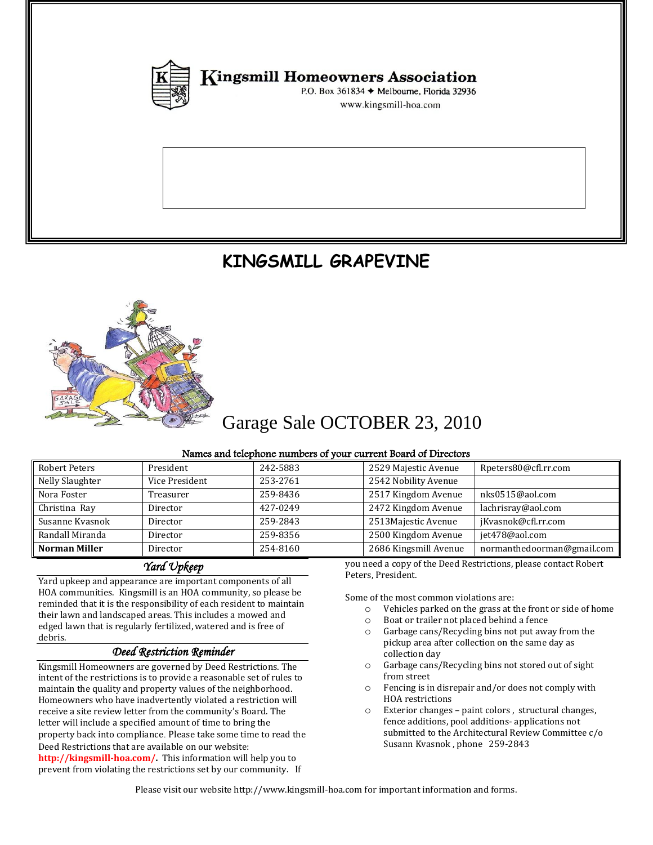

**Kingsmill Homeowners Association** 

P.O. Box 361834 + Melbourne, Florida 32936 www.kingsmill-hoa.com

# **KINGSMILL GRAPEVINE**



# Garage Sale OCTOBER 23, 2010

#### Names and telephone numbers of your current Board of Directors

| Robert Peters        | President      | 242-5883 | 2529 Majestic Avenue                                            | Rpeters80@cfl.rr.com       |  |
|----------------------|----------------|----------|-----------------------------------------------------------------|----------------------------|--|
| Nelly Slaughter      | Vice President | 253-2761 | 2542 Nobility Avenue                                            |                            |  |
| Nora Foster          | Treasurer      | 259-8436 | 2517 Kingdom Avenue                                             | nks0515@aol.com            |  |
| Christina Ray        | Director       | 427-0249 | 2472 Kingdom Avenue                                             | lachrisray@aol.com         |  |
| Susanne Kyasnok      | Director       | 259-2843 | 2513Majestic Avenue                                             | jKvasnok@cfl.rr.com        |  |
| Randall Miranda      | Director       | 259-8356 | 2500 Kingdom Avenue                                             | jet478@aol.com             |  |
| <b>Norman Miller</b> | Director       | 254-8160 | 2686 Kingsmill Avenue                                           | normanthedoorman@gmail.com |  |
| Vard Vnkeen          |                |          | you need a copy of the Deed Restrictions, please contact Robert |                            |  |

### *Yard Upkeep*

Yard upkeep and appearance are important components of all HOA communities. Kingsmill is an HOA community, so please be reminded that it is the responsibility of each resident to maintain their lawn and landscaped areas. This includes a mowed and edged lawn that is regularly fertilized,watered and is free of debris.

#### *Deed Restriction Reminder*

Kingsmill Homeowners are governed by Deed Restrictions. The intent of the restrictions is to provide a reasonable set of rules to maintain the quality and property values of the neighborhood. Homeowners who have inadvertently violated a restriction will receive a site review letter from the community's Board. The letter will include a specified amount of time to bring the property back into compliance*.* Please take some time to read the Deed Restrictions that are available on our website: **http://kingsmill-hoa.com/.** This information will help you to prevent from violating the restrictions set by our community. If

Some of the most common violations are:

Peters, President.

- o Vehicles parked on the grass at the front or side of home
- o Boat or trailer not placed behind a fence
- o Garbage cans/Recycling bins not put away from the pickup area after collection on the same day as collection day
- o Garbage cans/Recycling bins not stored out of sight from street
- o Fencing is in disrepair and/or does not comply with HOA restrictions
- o Exterior changes paint colors , structural changes, fence additions, pool additions- applications not submitted to the Architectural Review Committee c/o Susann Kvasnok , phone 259-2843

Please visit our website http://www.kingsmill-hoa.com for important information and forms.